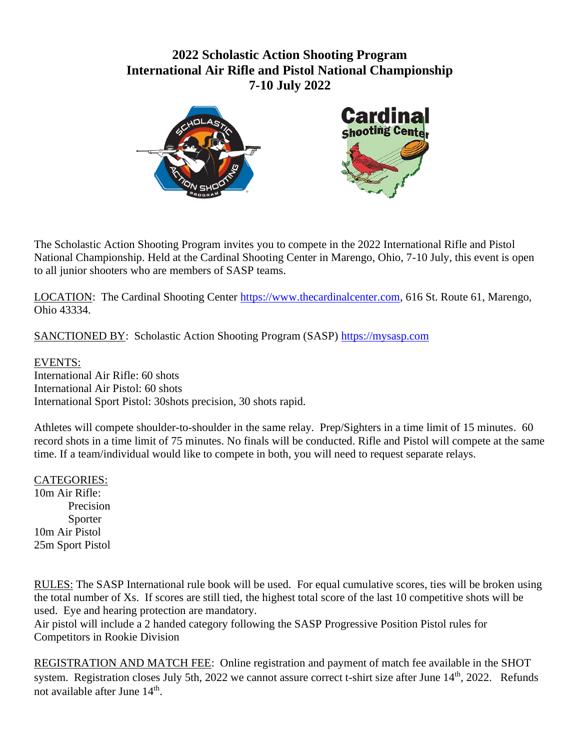# **2022 Scholastic Action Shooting Program International Air Rifle and Pistol National Championship 7-10 July 2022**



The Scholastic Action Shooting Program invites you to compete in the 2022 International Rifle and Pistol National Championship. Held at the Cardinal Shooting Center in Marengo, Ohio, 7-10 July, this event is open to all junior shooters who are members of SASP teams.

LOCATION: The Cardinal Shooting Center [https://www.thecardinalcenter.com,](https://www.thecardinalcenter.com/) 616 St. Route 61, Marengo, Ohio 43334.

SANCTIONED BY: Scholastic Action Shooting Program (SASP) [https://mysasp.com](https://mysasp.com/)

# EVENTS:

International Air Rifle: 60 shots International Air Pistol: 60 shots International Sport Pistol: 30shots precision, 30 shots rapid.

Athletes will compete shoulder-to-shoulder in the same relay. Prep/Sighters in a time limit of 15 minutes. 60 record shots in a time limit of 75 minutes. No finals will be conducted. Rifle and Pistol will compete at the same time. If a team/individual would like to compete in both, you will need to request separate relays.

## CATEGORIES:

10m Air Rifle: Precision Sporter 10m Air Pistol 25m Sport Pistol

RULES: The SASP International rule book will be used. For equal cumulative scores, ties will be broken using the total number of Xs. If scores are still tied, the highest total score of the last 10 competitive shots will be used. Eye and hearing protection are mandatory.

Air pistol will include a 2 handed category following the SASP Progressive Position Pistol rules for Competitors in Rookie Division

REGISTRATION AND MATCH FEE: Online registration and payment of match fee available in the SHOT system. Registration closes July 5th, 2022 we cannot assure correct t-shirt size after June 14<sup>th</sup>, 2022. Refunds not available after June 14<sup>th</sup>.